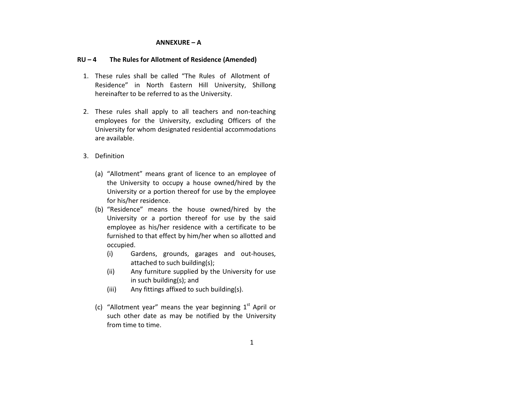## ANNEXURE – A

## RU – 4 The Rules for Allotment of Residence (Amended)

- 1. These rules shall be called "The Rules of Allotment of Residence" in North Eastern Hill University, Shillong hereinafter to be referred to as the University.
- 2. These rules shall apply to all teachers and non-teaching employees for the University, excluding Officers of the University for whom designated residential accommodations are available.
- 3. Definition
	- (a) "Allotment" means grant of licence to an employee of the University to occupy a house owned/hired by the University or a portion thereof for use by the employee for his/her residence.
	- (b) "Residence" means the house owned/hired by the University or a portion thereof for use by the said employee as his/her residence with a certificate to be furnished to that effect by him/her when so allotted and occupied.
		- (i) Gardens, grounds, garages and out-houses, attached to such building(s);
		- (ii) Any furniture supplied by the University for use in such building(s); and
		- (iii)Any fittings affixed to such building(s).
	- (c) "Allotment year" means the year beginning  $1<sup>st</sup>$  April or such other date as may be notified by the University from time to time.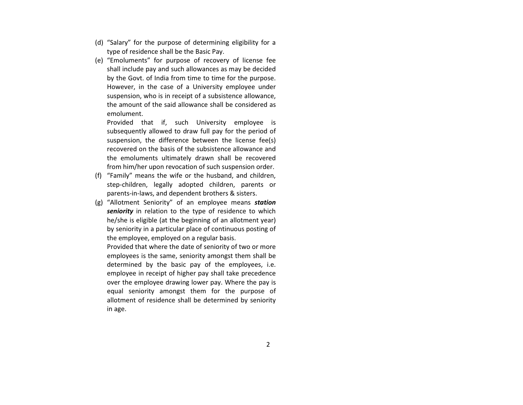- (d) "Salary" for the purpose of determining eligibility for a type of residence shall be the Basic Pay.
- (e) "Emoluments" for purpose of recovery of license fee shall include pay and such allowances as may be decided by the Govt. of India from time to time for the purpose. However, in the case of a University employee under suspension, who is in receipt of a subsistence allowance,the amount of the said allowance shall be considered as emolument.

Provided that if, such University employee is subsequently allowed to draw full pay for the period of suspension, the difference between the license fee(s) recovered on the basis of the subsistence allowance and the emoluments ultimately drawn shall be recovered from him/her upon revocation of such suspension order.

- (f) "Family" means the wife or the husband, and children, step-children, legally adopted children, parents or parents-in-laws, and dependent brothers & sisters.
- (g) "Allotment Seniority" of an employee means station seniority in relation to the type of residence to which he/she is eligible (at the beginning of an allotment year) by seniority in a particular place of continuous posting of the employee, employed on a regular basis.

Provided that where the date of seniority of two or more employees is the same, seniority amongst them shall be determined by the basic pay of the employees, i.e. employee in receipt of higher pay shall take precedence over the employee drawing lower pay. Where the pay is equal seniority amongst them for the purpose of allotment of residence shall be determined by seniority in age.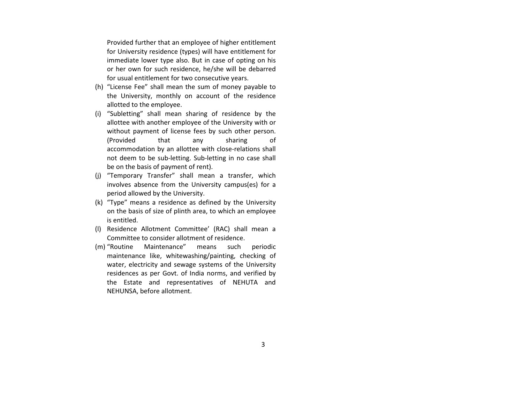Provided further that an employee of higher entitlement for University residence (types) will have entitlement for immediate lower type also. But in case of opting on his or her own for such residence, he/she will be debarred for usual entitlement for two consecutive years.

- (h) "License Fee" shall mean the sum of money payable to the University, monthly on account of the residence allotted to the employee.
- (i) "Subletting" shall mean sharing of residence by the allottee with another employee of the University with or without payment of license fees by such other person. (Provided that any sharing ofaccommodation by an allottee with close-relations shall not deem to be sub-letting. Sub-letting in no case shallbe on the basis of payment of rent).
- (j) "Temporary Transfer" shall mean a transfer, which involves absence from the University campus(es) for a period allowed by the University.
- (k) "Type" means a residence as defined by the University on the basis of size of plinth area, to which an employee is entitled.
- (l) Residence Allotment Committee' (RAC) shall mean a Committee to consider allotment of residence.
- (m) "Routine Maintenance" means such periodic maintenance like, whitewashing/painting, checking of water, electricity and sewage systems of the University residences as per Govt. of India norms, and verified by the Estate and representatives of NEHUTA and NEHUNSA, before allotment.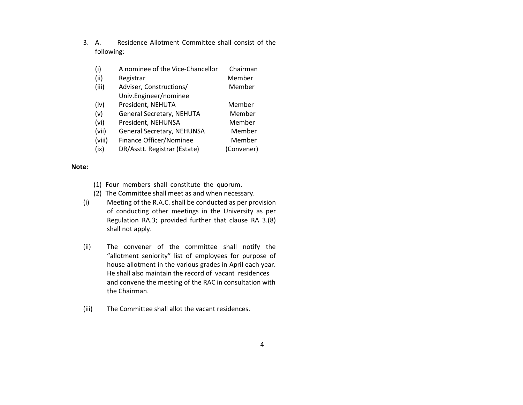- 3.Residence Allotment Committee shall consist of the following:
	- (i)A nominee of the Vice-Chancellor Chairman
	- (ii)Registrar Member
	- (iii) Adviser, Constructions/ Member Univ.Engineer/nominee
	- (iv)President, NEHUTA Member
	- (v)General Secretary, NEHUTA Member
	- Member (vi)President, NEHUNSA
	- (vii)General Secretary, NEHUNSA Member
	- (viii)Finance Officer/Nominee Member
	- (ix)DR/Asstt. Registrar (Estate) (Convener)

## Note:

- (1) Four members shall constitute the quorum.
- (2) The Committee shall meet as and when necessary.
- (i) Meeting of the R.A.C. shall be conducted as per provision of conducting other meetings in the University as per Regulation RA.3; provided further that clause RA 3.(8) shall not apply.
- (ii) The convener of the committee shall notify the "allotment seniority" list of employees for purpose of house allotment in the various grades in April each year. He shall also maintain the record of vacant residences and convene the meeting of the RAC in consultation with the Chairman.
- (iii)The Committee shall allot the vacant residences.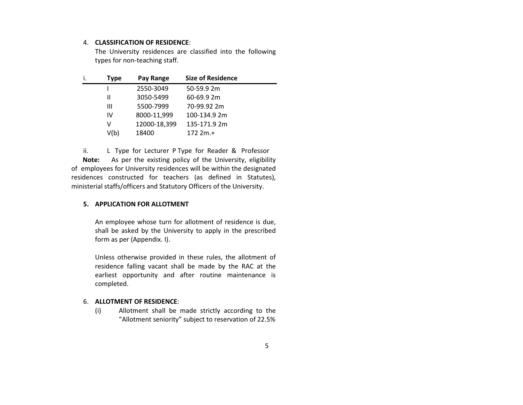#### 4. CLASSIFICATION OF RESIDENCE:

The University residences are classified into the following types for non-teaching staff.

| Type | Pay Range    | <b>Size of Residence</b> |  |
|------|--------------|--------------------------|--|
|      | 2550-3049    | 50-59.9 2m               |  |
| Ш    | 3050-5499    | 60-69.9 2m               |  |
| Ш    | 5500-7999    | 70-99.92 2m              |  |
| IV   | 8000-11,999  | 100-134.9 2m             |  |
| v    | 12000-18,399 | 135-171.9 2m             |  |
| V(b) | 18400        | $1722m.+$                |  |
|      |              |                          |  |

ii. L Type for Lecturer P Type for Reader & Professor Note: As per the existing policy of the University, eligibility of employees for University residences will be within the designated residences constructed for teachers (as defined in Statutes), ministerial staffs/officers and Statutory Officers of the University.

### 5. APPLICATION FOR ALLOTMENT

An employee whose turn for allotment of residence is due, shall be asked by the University to apply in the prescribed form as per (Appendix. I).

Unless otherwise provided in these rules, the allotment of residence falling vacant shall be made by the RAC at the earliest opportunity and after routine maintenance is completed.

### 6. ALLOTMENT OF RESIDENCE:

(i) Allotment shall be made strictly according to the "Allotment seniority" subject to reservation of 22.5%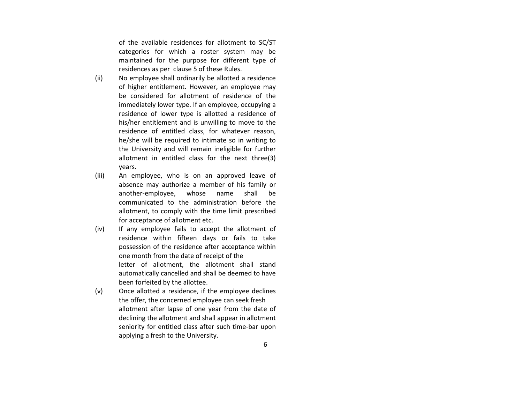of the available residences for allotment to SC/ST categories for which a roster system may be maintained for the purpose for different type of residences as per clause 5 of these Rules.

- (ii) No employee shall ordinarily be allotted a residence of higher entitlement. However, an employee may be considered for allotment of residence of the immediately lower type. If an employee, occupying a residence of lower type is allotted a residence of his/her entitlement and is unwilling to move to the residence of entitled class, for whatever reason, he/she will be required to intimate so in writing to the University and will remain ineligible for further allotment in entitled class for the next three(3) years.
- (iii) An employee, who is on an approved leave of absence may authorize a member of his family or another-employee, whose name shall be communicated to the administration before the allotment, to comply with the time limit prescribed for acceptance of allotment etc.
- (iv) If any employee fails to accept the allotment of residence within fifteen days or fails to take possession of the residence after acceptance within one month from the date of receipt of the letter of allotment, the allotment shall stand automatically cancelled and shall be deemed to have been forfeited by the allottee.
- (v) Once allotted a residence, if the employee declines the offer, the concerned employee can seek fresh allotment after lapse of one year from the date of declining the allotment and shall appear in allotment seniority for entitled class after such time-bar upon applying a fresh to the University.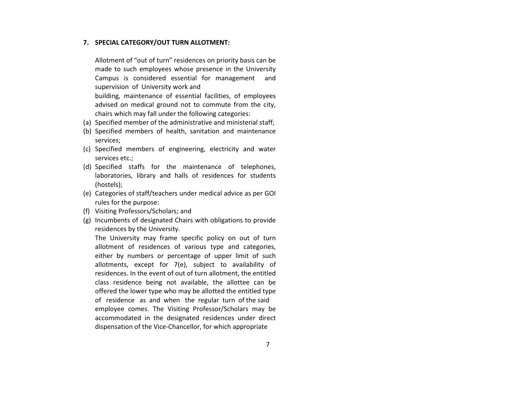## 7. SPECIAL CATEGORY/OUT TURN ALLOTMENT:

Allotment of "out of turn" residences on priority basis can be made to such employees whose presence in the University Campus is considered essential for management and supervision of University work and

building, maintenance of essential facilities, of employees advised on medical ground not to commute from the city, chairs which may fall under the following categories:

- (a) Specified member of the administrative and ministerial staff;
- (b) Specified members of health, sanitation and maintenance services;
- (c) Specified members of engineering, electricity and water services etc.;
- (d) Specified staffs for the maintenance of telephones, laboratories, library and halls of residences for students (hostels);
- (e) Categories of staff/teachers under medical advice as per GOI rules for the purpose:
- (f) Visiting Professors/Scholars; and
- (g) Incumbents of designated Chairs with obligations to provide residences by the University.

 The University may frame specific policy on out of turn allotment of residences of various type and categories, either by numbers or percentage of upper limit of such allotments, except for 7(e), subject to availability ofresidences. In the event of out of turn allotment, the entitled class residence being not available, the allottee can be offered the lower type who may be allotted the entitled typeof residence as and when the regular turn of the said employee comes. The Visiting Professor/Scholars may be accommodated in the designated residences under direct dispensation of the Vice-Chancellor, for which appropriate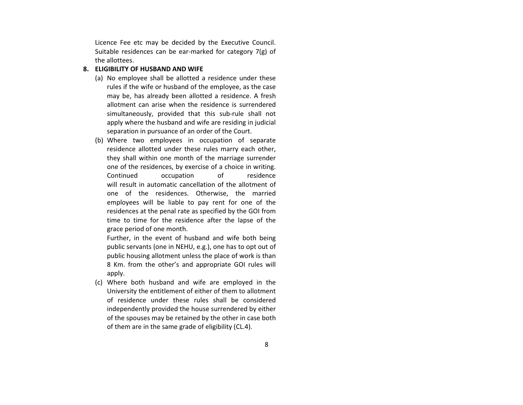Licence Fee etc may be decided by the Executive Council. Suitable residences can be ear-marked for category 7(g) of the allottees.

## 8. ELIGIBILITY OF HUSBAND AND WIFE

- (a) No employee shall be allotted a residence under these rules if the wife or husband of the employee, as the case may be, has already been allotted a residence. A fresh allotment can arise when the residence is surrendered simultaneously, provided that this sub-rule shall not apply where the husband and wife are residing in judicialseparation in pursuance of an order of the Court.
- (b) Where two employees in occupation of separate residence allotted under these rules marry each other, they shall within one month of the marriage surrender one of the residences, by exercise of a choice in writing. Continued occupation of residence will result in automatic cancellation of the allotment of one of the residences. Otherwise, the married employees will be liable to pay rent for one of the residences at the penal rate as specified by the GOI from time to time for the residence after the lapse of the grace period of one month.

Further, in the event of husband and wife both being public servants (one in NEHU, e.g.), one has to opt out of public housing allotment unless the place of work is than 8 Km. from the other's and appropriate GOI rules will apply.

(c) Where both husband and wife are employed in the University the entitlement of either of them to allotment of residence under these rules shall be considered independently provided the house surrendered by either of the spouses may be retained by the other in case both of them are in the same grade of eligibility (CL.4).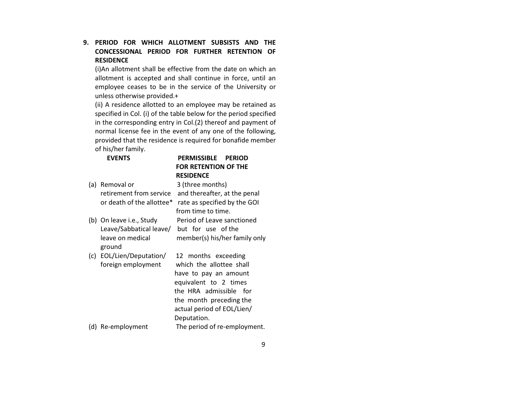# 9. PERIOD FOR WHICH ALLOTMENT SUBSISTS AND THE CONCESSIONAL PERIOD FOR FURTHER RETENTION OF **RESIDENCE**

(i)An allotment shall be effective from the date on which an allotment is accepted and shall continue in force, until an employee ceases to be in the service of the University or unless otherwise provided.+

(ii) A residence allotted to an employee may be retained as specified in Col. (i) of the table below for the period specified in the corresponding entry in Col.(2) thereof and payment of normal license fee in the event of any one of the following,provided that the residence is required for bonafide member of his/her family.

EVENTS

# PERMISSIBLE PERIOD FOR RETENTION OF THE RESIDENCE

Period of Leave sanctioned

- (a) Removal or 3 (three months) retirement from service and thereafter, at the penal or death of the allottee\* rate as specified by the GOI from time to time.
- (b) On leave i.e., Study Leave/Sabbatical leave/ but for use of the leave on medical member(s) his/her family only ground
- (c) EOL/Lien/Deputation/ 12 months exceeding foreign employment which the allottee shall

 have to pay an amount equivalent to 2 times the HRA admissible for the month preceding the actual period of EOL/Lien/ Deputation.

(d) Re-employment The period of re-employment.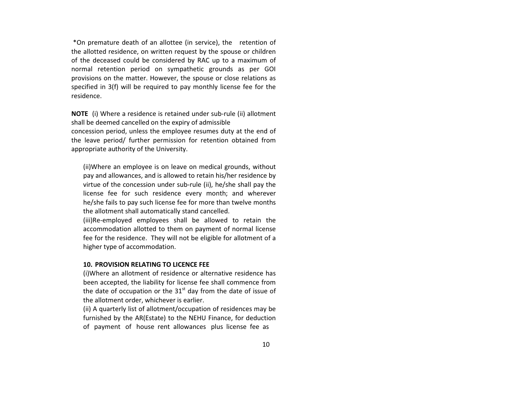\*On premature death of an allottee (in service), the retention of the allotted residence, on written request by the spouse or children of the deceased could be considered by RAC up to a maximum of normal retention period on sympathetic grounds as per GOI provisions on the matter. However, the spouse or close relations as specified in 3(f) will be required to pay monthly license fee for the residence.

NOTE (i) Where a residence is retained under sub-rule (ii) allotment shall be deemed cancelled on the expiry of admissible concession period, unless the employee resumes duty at the end of the leave period/ further permission for retention obtained from appropriate authority of the University.

(ii)Where an employee is on leave on medical grounds, without pay and allowances, and is allowed to retain his/her residence by virtue of the concession under sub-rule (ii), he/she shall pay the license fee for such residence every month; and wherever he/she fails to pay such license fee for more than twelve months the allotment shall automatically stand cancelled.

(iii)Re-employed employees shall be allowed to retain the accommodation allotted to them on payment of normal license fee for the residence. They will not be eligible for allotment of a higher type of accommodation.

## 10. PROVISION RELATING TO LICENCE FEE

(i)Where an allotment of residence or alternative residence has been accepted, the liability for license fee shall commence from the date of occupation or the  $31<sup>st</sup>$  day from the date of issue of the allotment order, whichever is earlier.

(ii) A quarterly list of allotment/occupation of residences may be furnished by the AR(Estate) to the NEHU Finance, for deduction of payment of house rent allowances plus license fee as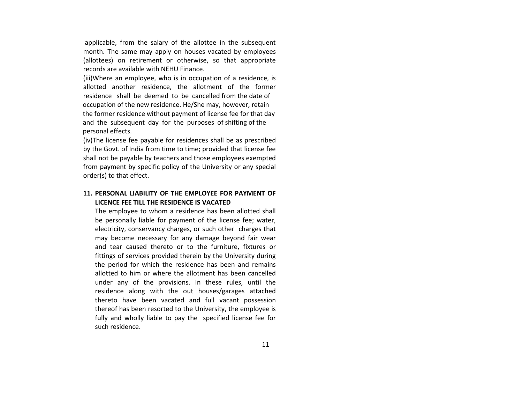applicable, from the salary of the allottee in the subsequent month. The same may apply on houses vacated by employees (allottees) on retirement or otherwise, so that appropriate records are available with NEHU Finance.

(iii)Where an employee, who is in occupation of a residence, is allotted another residence, the allotment of the former residence shall be deemed to be cancelled from the date of occupation of the new residence. He/She may, however, retain the former residence without payment of license fee for that day and the subsequent day for the purposes of shifting of the personal effects.

(iv)The license fee payable for residences shall be as prescribed by the Govt. of India from time to time; provided that license fee shall not be payable by teachers and those employees exempted from payment by specific policy of the University or any special order(s) to that effect.

## 11. PERSONAL LIABILITY OF THE EMPLOYEE FOR PAYMENT OF LICENCE FEE TILL THE RESIDENCE IS VACATED

The employee to whom a residence has been allotted shall be personally liable for payment of the license fee; water, electricity, conservancy charges, or such other charges that may become necessary for any damage beyond fair wear and tear caused thereto or to the furniture, fixtures or fittings of services provided therein by the University during the period for which the residence has been and remains allotted to him or where the allotment has been cancelled under any of the provisions. In these rules, until the residence along with the out houses/garages attached thereto have been vacated and full vacant possession thereof has been resorted to the University, the employee is fully and wholly liable to pay the specified license fee for such residence.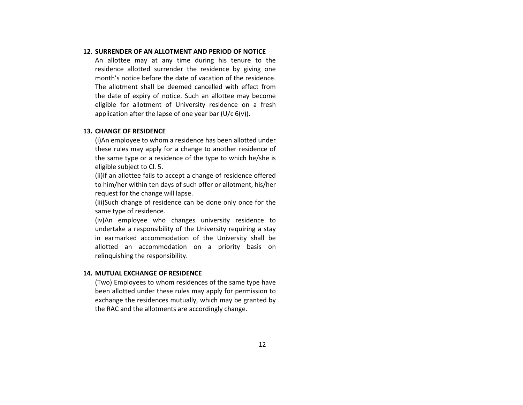### 12. SURRENDER OF AN ALLOTMENT AND PERIOD OF NOTICE

An allottee may at any time during his tenure to the residence allotted surrender the residence by giving one month's notice before the date of vacation of the residence. The allotment shall be deemed cancelled with effect from the date of expiry of notice. Such an allottee may become eligible for allotment of University residence on a fresh application after the lapse of one year bar  $(U/c 6(v))$ .

#### 13. CHANGE OF RESIDENCE

(i)An employee to whom a residence has been allotted under these rules may apply for a change to another residence of the same type or a residence of the type to which he/she is eligible subject to Cl. 5.

(ii)If an allottee fails to accept a change of residence offered to him/her within ten days of such offer or allotment, his/her request for the change will lapse.

(iii)Such change of residence can be done only once for the same type of residence.

(iv)An employee who changes university residence to undertake a responsibility of the University requiring a stay in earmarked accommodation of the University shall be allotted an accommodation on a priority basis on relinquishing the responsibility.

#### 14. MUTUAL EXCHANGE OF RESIDENCE

(Two) Employees to whom residences of the same type have been allotted under these rules may apply for permission to exchange the residences mutually, which may be granted by the RAC and the allotments are accordingly change.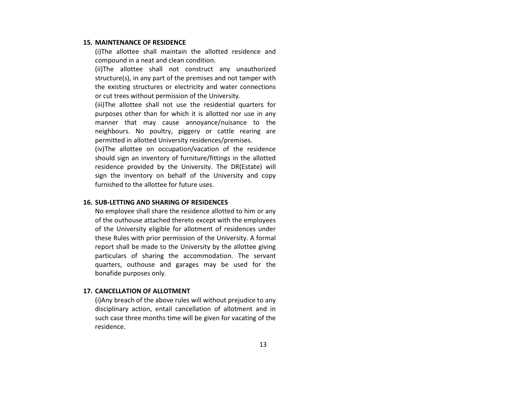#### 15. MAINTENANCE OF RESIDENCE

 (i)The allottee shall maintain the allotted residence and compound in a neat and clean condition.

(ii)The allottee shall not construct any unauthorized structure(s), in any part of the premises and not tamper with the existing structures or electricity and water connections or cut trees without permission of the University.

(iii)The allottee shall not use the residential quarters for purposes other than for which it is allotted nor use in any manner that may cause annoyance/nuisance to the neighbours. No poultry, piggery or cattle rearing are permitted in allotted University residences/premises.

(iv)The allottee on occupation/vacation of the residence should sign an inventory of furniture/fittings in the allotted residence provided by the University. The DR(Estate) will sign the inventory on behalf of the University and copy furnished to the allottee for future uses.

#### 16. SUB-LETTING AND SHARING OF RESIDENCES

No employee shall share the residence allotted to him or any of the outhouse attached thereto except with the employees of the University eligible for allotment of residences under these Rules with prior permission of the University. A formal report shall be made to the University by the allottee giving particulars of sharing the accommodation. The servant quarters, outhouse and garages may be used for the bonafide purposes only.

#### 17. CANCELLATION OF ALLOTMENT

(i)Any breach of the above rules will without prejudice to any disciplinary action, entail cancellation of allotment and in such case three months time will be given for vacating of the residence.